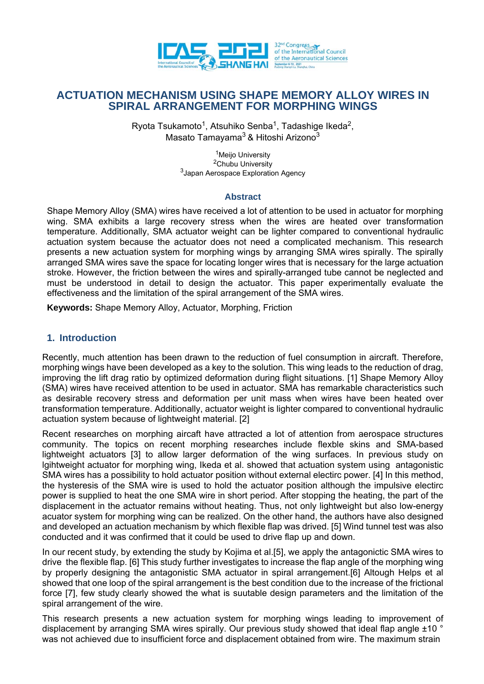

# **ACTUATION MECHANISM USING SHAPE MEMORY ALLOY WIRES IN SPIRAL ARRANGEMENT FOR MORPHING WINGS**

Ryota Tsukamoto<sup>1</sup>, Atsuhiko Senba<sup>1</sup>, Tadashige Ikeda<sup>2</sup>, Masato Tamayama<sup>3</sup> & Hitoshi Arizono<sup>3</sup>

> <sup>1</sup>Meijo University 2Chubu University 3Japan Aerospace Exploration Agency

### **Abstract**

Shape Memory Alloy (SMA) wires have received a lot of attention to be used in actuator for morphing wing. SMA exhibits a large recovery stress when the wires are heated over transformation temperature. Additionally, SMA actuator weight can be lighter compared to conventional hydraulic actuation system because the actuator does not need a complicated mechanism. This research presents a new actuation system for morphing wings by arranging SMA wires spirally. The spirally arranged SMA wires save the space for locating longer wires that is necessary for the large actuation stroke. However, the friction between the wires and spirally-arranged tube cannot be neglected and must be understood in detail to design the actuator. This paper experimentally evaluate the effectiveness and the limitation of the spiral arrangement of the SMA wires.

**Keywords:** Shape Memory Alloy, Actuator, Morphing, Friction

## **1. Introduction**

Recently, much attention has been drawn to the reduction of fuel consumption in aircraft. Therefore, morphing wings have been developed as a key to the solution. This wing leads to the reduction of drag, improving the lift drag ratio by optimized deformation during flight situations. [1] Shape Memory Alloy (SMA) wires have received attention to be used in actuator. SMA has remarkable characteristics such as desirable recovery stress and deformation per unit mass when wires have been heated over transformation temperature. Additionally, actuator weight is lighter compared to conventional hydraulic actuation system because of lightweight material. [2]

Recent researches on morphing aircaft have attracted a lot of attention from aerospace structures community. The topics on recent morphing researches include flexble skins and SMA-based lightweight actuators [3] to allow larger deformation of the wing surfaces. In previous study on lgihtweight actuator for morphing wing, Ikeda et al. showed that actuation system using antagonistic SMA wires has a possibility to hold actuator position without external electirc power. [4] In this method, the hysteresis of the SMA wire is used to hold the actuator position although the impulsive electirc power is supplied to heat the one SMA wire in short period. After stopping the heating, the part of the displacement in the actuator remains without heating. Thus, not only lightweight but also low-energy acuator system for morphing wing can be realized. On the other hand, the authors have also designed and developed an actuation mechanism by which flexible flap was drived. [5] Wind tunnel test was also conducted and it was confirmed that it could be used to drive flap up and down.

In our recent study, by extending the study by Kojima et al.[5], we apply the antagonictic SMA wires to drive the flexible flap. [6] This study further investigates to increase the flap angle of the morphing wing by properly designing the antagonistic SMA actuator in spiral arrangement.[6] Altough Helps et al showed that one loop of the spiral arrangement is the best condition due to the increase of the frictional force [7], few study clearly showed the what is suutable design parameters and the limitation of the spiral arrangement of the wire.

This research presents a new actuation system for morphing wings leading to improvement of displacement by arranging SMA wires spirally. Our previous study showed that ideal flap angle  $\pm$ 10  $^{\circ}$ was not achieved due to insufficient force and displacement obtained from wire. The maximum strain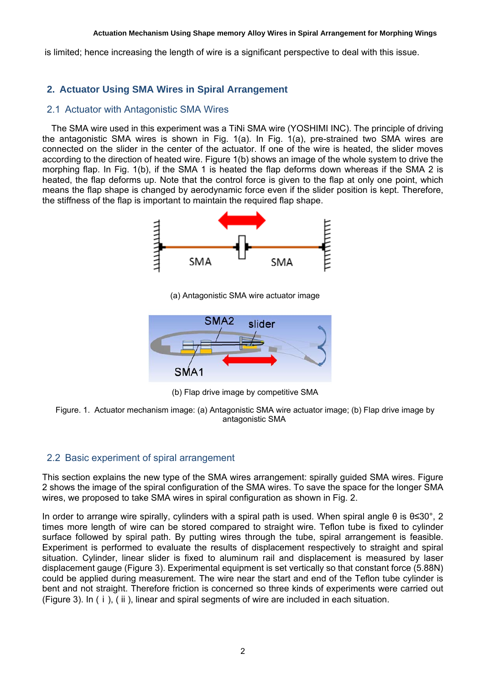#### **Actuation Mechanism Using Shape memory Alloy Wires in Spiral Arrangement for Morphing Wings**

is limited; hence increasing the length of wire is a significant perspective to deal with this issue.

# **2. Actuator Using SMA Wires in Spiral Arrangement**

## 2.1 Actuator with Antagonistic SMA Wires

The SMA wire used in this experiment was a TiNi SMA wire (YOSHIMI INC). The principle of driving the antagonistic SMA wires is shown in Fig. 1(a). In Fig. 1(a), pre-strained two SMA wires are connected on the slider in the center of the actuator. If one of the wire is heated, the slider moves according to the direction of heated wire. Figure 1(b) shows an image of the whole system to drive the morphing flap. In Fig. 1(b), if the SMA 1 is heated the flap deforms down whereas if the SMA 2 is heated, the flap deforms up. Note that the control force is given to the flap at only one point, which means the flap shape is changed by aerodynamic force even if the slider position is kept. Therefore, the stiffness of the flap is important to maintain the required flap shape.



(a) Antagonistic SMA wire actuator image



(b) Flap drive image by competitive SMA



## 2.2 Basic experiment of spiral arrangement

This section explains the new type of the SMA wires arrangement: spirally guided SMA wires. Figure 2 shows the image of the spiral configuration of the SMA wires. To save the space for the longer SMA wires, we proposed to take SMA wires in spiral configuration as shown in Fig. 2.

In order to arrange wire spirally, cylinders with a spiral path is used. When spiral angle θ is θ≤30°, 2 times more length of wire can be stored compared to straight wire. Teflon tube is fixed to cylinder surface followed by spiral path. By putting wires through the tube, spiral arrangement is feasible. Experiment is performed to evaluate the results of displacement respectively to straight and spiral situation. Cylinder, linear slider is fixed to aluminum rail and displacement is measured by laser displacement gauge (Figure 3). Experimental equipment is set vertically so that constant force (5.88N) could be applied during measurement. The wire near the start and end of the Teflon tube cylinder is bent and not straight. Therefore friction is concerned so three kinds of experiments were carried out (Figure 3). In (ⅰ), (ⅱ), linear and spiral segments of wire are included in each situation.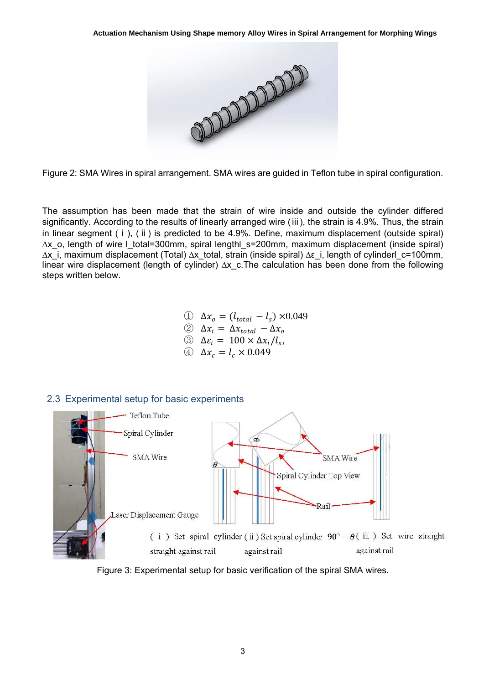

Figure 2: SMA Wires in spiral arrangement. SMA wires are guided in Teflon tube in spiral configuration.

The assumption has been made that the strain of wire inside and outside the cylinder differed significantly. According to the results of linearly arranged wire (iii), the strain is 4.9%. Thus, the strain in linear segment (ⅰ), (ⅱ) is predicted to be 4.9%. Define, maximum displacement (outside spiral) ∆x\_o, length of wire l\_total=300mm, spiral lengthl\_s=200mm, maximum displacement (inside spiral) ∆x\_i, maximum displacement (Total) ∆x\_total, strain (inside spiral) ∆ε\_i, length of cylinderl\_c=100mm, linear wire displacement (length of cylinder) ∆x\_c.The calculation has been done from the following steps written below.

①  $\Delta x_o = (l_{total} - l_s) \times 0.049$ 

- $\oslash$   $\Delta x_i = \Delta x_{total} \Delta x_o$
- $\Im$   $\Delta \varepsilon_i = 100 \times \Delta x_i/l_s$ ,
- $\Delta x_c = l_c \times 0.049$

## 2.3 Experimental setup for basic experiments



Figure 3: Experimental setup for basic verification of the spiral SMA wires.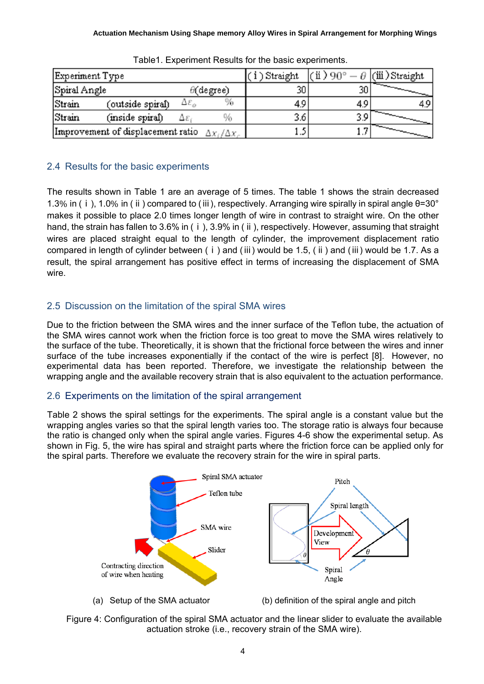| Experiment Type                                              |                  |                   | i)Straight | (ü)90° | ⊿ [(iii ) Straight |  |
|--------------------------------------------------------------|------------------|-------------------|------------|--------|--------------------|--|
| Spiral Angle                                                 |                  | $\theta$ (degree) |            | 30     |                    |  |
| Strain                                                       | (outside spiral) | Δε,               |            | 4.9    | 4.9                |  |
| Strain                                                       | (inside spiral)  | %<br>Δε           |            | 3.6    | 3.5                |  |
| Improvement of displacement ratio<br>$\Delta x_i/\Delta x_i$ |                  |                   |            |        |                    |  |

Table1. Experiment Results for the basic experiments.

# 2.4 Results for the basic experiments

The results shown in Table 1 are an average of 5 times. The table 1 shows the strain decreased 1.3% in (ⅰ), 1.0% in (ⅱ) compared to (ⅲ), respectively. Arranging wire spirally in spiral angle θ=30° makes it possible to place 2.0 times longer length of wire in contrast to straight wire. On the other hand, the strain has fallen to 3.6% in (i), 3.9% in (ii), respectively. However, assuming that straight wires are placed straight equal to the length of cylinder, the improvement displacement ratio compared in length of cylinder between (ⅰ) and (ⅲ) would be 1.5, (ⅱ) and (ⅲ) would be 1.7. As a result, the spiral arrangement has positive effect in terms of increasing the displacement of SMA wire.

# 2.5 Discussion on the limitation of the spiral SMA wires

Due to the friction between the SMA wires and the inner surface of the Teflon tube, the actuation of the SMA wires cannot work when the friction force is too great to move the SMA wires relatively to the surface of the tube. Theoretically, it is shown that the frictional force between the wires and inner surface of the tube increases exponentially if the contact of the wire is perfect [8]. However, no experimental data has been reported. Therefore, we investigate the relationship between the wrapping angle and the available recovery strain that is also equivalent to the actuation performance.

# 2.6 Experiments on the limitation of the spiral arrangement

Table 2 shows the spiral settings for the experiments. The spiral angle is a constant value but the wrapping angles varies so that the spiral length varies too. The storage ratio is always four because the ratio is changed only when the spiral angle varies. Figures 4-6 show the experimental setup. As shown in Fig. 5, the wire has spiral and straight parts where the friction force can be applied only for the spiral parts. Therefore we evaluate the recovery strain for the wire in spiral parts.



(a) Setup of the SMA actuator (b) definition of the spiral angle and pitch

Figure 4: Configuration of the spiral SMA actuator and the linear slider to evaluate the available actuation stroke (i.e., recovery strain of the SMA wire).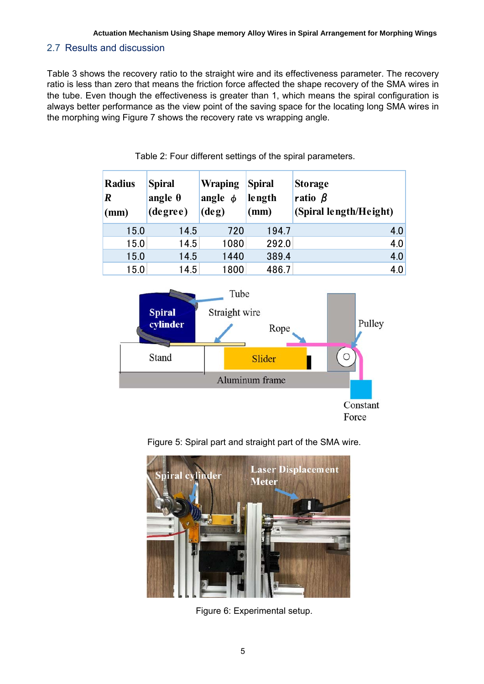## 2.7 Results and discussion

Table 3 shows the recovery ratio to the straight wire and its effectiveness parameter. The recovery ratio is less than zero that means the friction force affected the shape recovery of the SMA wires in the tube. Even though the effectiveness is greater than 1, which means the spiral configuration is always better performance as the view point of the saving space for the locating long SMA wires in the morphing wing Figure 7 shows the recovery rate vs wrapping angle.

| <b>Radius</b><br>$\bm{R}$<br>(mm) | <b>Spiral</b><br>angle $\theta$<br>(degree) | <b>Wraping</b><br>angle $\phi$<br>$(\deg)$ | <b>Spiral</b><br>length<br>(mm) | <b>Storage</b><br>ratio $\beta$<br>(Spiral length/Height) |
|-----------------------------------|---------------------------------------------|--------------------------------------------|---------------------------------|-----------------------------------------------------------|
| 15.0                              | 14.5                                        | 720                                        | 194.7                           | 4.0                                                       |
| 15.0                              | 14.5                                        | 1080                                       | 292.0                           | 4.0                                                       |
| 15.0                              | 14.5                                        | 1440                                       | 389.4                           | 4.0                                                       |
| 15.0                              | 14.5                                        | 1800                                       | 486.7                           | 4.0                                                       |

Table 2: Four different settings of the spiral parameters.



Figure 5: Spiral part and straight part of the SMA wire.



Figure 6: Experimental setup.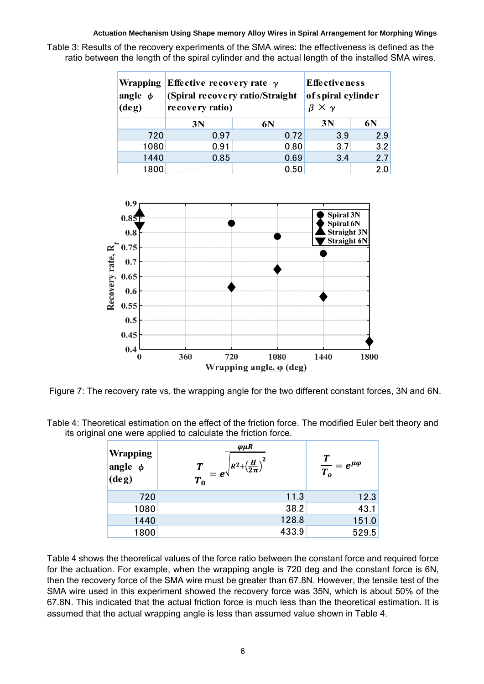#### **Actuation Mechanism Using Shape memory Alloy Wires in Spiral Arrangement for Morphing Wings**

Table 3: Results of the recovery experiments of the SMA wires: the effectiveness is defined as the ratio between the length of the spiral cylinder and the actual length of the installed SMA wires.

| <b>Wrapping</b><br>angle $\phi$<br>$(\text{deg})$ | Effective recovery rate $\gamma$<br>(Spiral recovery ratio/Straight<br>recovery ratio) | <b>Effectiveness</b><br>of spiral cylinder<br>$\times$ $\gamma$ |     |     |
|---------------------------------------------------|----------------------------------------------------------------------------------------|-----------------------------------------------------------------|-----|-----|
|                                                   | 3N                                                                                     | 6N                                                              | 3N  | 6N  |
| 720                                               | 0.97                                                                                   | 0.72                                                            | 3.9 | 2.9 |
| 1080                                              | 0.91                                                                                   | 0.80                                                            | 3.7 | 3.2 |
| 1440                                              | 0.85                                                                                   | 0.69                                                            | 3.4 | 2.7 |
| 1800                                              |                                                                                        | 0.50                                                            |     | 2.0 |



Figure 7: The recovery rate vs. the wrapping angle for the two different constant forces, 3N and 6N.

Table 4: Theoretical estimation on the effect of the friction force. The modified Euler belt theory and its original one were applied to calculate the friction force.

| <b>Wrapping</b><br>angle $\phi$<br>$\log$ | $\varphi \mu R$<br>$\sqrt{R^2+\left(\frac{H}{2\pi}\right)^2}$<br>$\frac{T}{T_0}=e^{\sqrt{2}}$ | $\frac{T}{T_o} = e^{\mu \varphi}$ |
|-------------------------------------------|-----------------------------------------------------------------------------------------------|-----------------------------------|
| 720                                       | 11.3                                                                                          | 12.3                              |
| 1080                                      | 38.2                                                                                          | 43.1                              |
| 1440                                      | 128.8                                                                                         | 151.0                             |
| 1800                                      | 433.9                                                                                         | 529.5                             |

Table 4 shows the theoretical values of the force ratio between the constant force and required force for the actuation. For example, when the wrapping angle is 720 deg and the constant force is 6N, then the recovery force of the SMA wire must be greater than 67.8N. However, the tensile test of the SMA wire used in this experiment showed the recovery force was 35N, which is about 50% of the 67.8N. This indicated that the actual friction force is much less than the theoretical estimation. It is assumed that the actual wrapping angle is less than assumed value shown in Table 4.